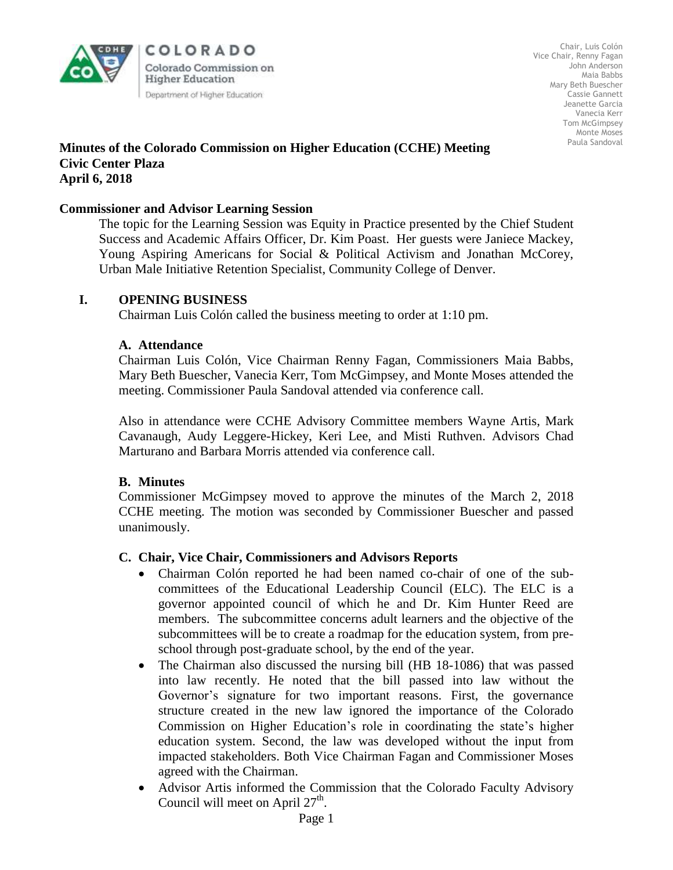

COLORADO Colorado Commission on **Higher Education** Department of Higher Education

Chair, Luis Colón Vice Chair, Renny Fagan John Anderson Maia Babbs Mary Beth Buescher Cassie Gannett Jeanette Garcia Vanecia Kerr Tom McGimpsey Monte Moses Paula Sandoval

#### **Minutes of the Colorado Commission on Higher Education (CCHE) Meeting Civic Center Plaza April 6, 2018**

#### **Commissioner and Advisor Learning Session**

The topic for the Learning Session was Equity in Practice presented by the Chief Student Success and Academic Affairs Officer, Dr. Kim Poast. Her guests were Janiece Mackey, Young Aspiring Americans for Social & Political Activism and Jonathan McCorey, Urban Male Initiative Retention Specialist, Community College of Denver.

#### **I. OPENING BUSINESS**

Chairman Luis Colón called the business meeting to order at 1:10 pm.

#### **A. Attendance**

Chairman Luis Colón, Vice Chairman Renny Fagan, Commissioners Maia Babbs, Mary Beth Buescher, Vanecia Kerr, Tom McGimpsey, and Monte Moses attended the meeting. Commissioner Paula Sandoval attended via conference call.

Also in attendance were CCHE Advisory Committee members Wayne Artis, Mark Cavanaugh, Audy Leggere-Hickey, Keri Lee, and Misti Ruthven. Advisors Chad Marturano and Barbara Morris attended via conference call.

#### **B. Minutes**

Commissioner McGimpsey moved to approve the minutes of the March 2, 2018 CCHE meeting. The motion was seconded by Commissioner Buescher and passed unanimously.

#### **C. Chair, Vice Chair, Commissioners and Advisors Reports**

- Chairman Colón reported he had been named co-chair of one of the subcommittees of the Educational Leadership Council (ELC). The ELC is a governor appointed council of which he and Dr. Kim Hunter Reed are members. The subcommittee concerns adult learners and the objective of the subcommittees will be to create a roadmap for the education system, from preschool through post-graduate school, by the end of the year.
- The Chairman also discussed the nursing bill (HB 18-1086) that was passed into law recently. He noted that the bill passed into law without the Governor's signature for two important reasons. First, the governance structure created in the new law ignored the importance of the Colorado Commission on Higher Education's role in coordinating the state's higher education system. Second, the law was developed without the input from impacted stakeholders. Both Vice Chairman Fagan and Commissioner Moses agreed with the Chairman.
- Advisor Artis informed the Commission that the Colorado Faculty Advisory Council will meet on April  $27<sup>th</sup>$ .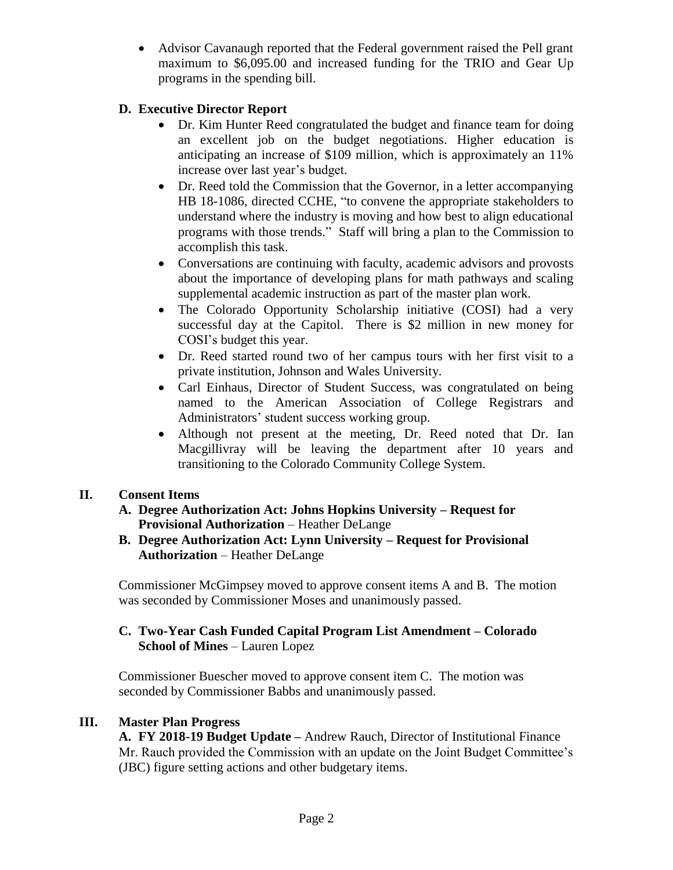Advisor Cavanaugh reported that the Federal government raised the Pell grant maximum to \$6,095.00 and increased funding for the TRIO and Gear Up programs in the spending bill.

# **D. Executive Director Report**

- Dr. Kim Hunter Reed congratulated the budget and finance team for doing an excellent job on the budget negotiations. Higher education is anticipating an increase of \$109 million, which is approximately an 11% increase over last year's budget.
- Dr. Reed told the Commission that the Governor, in a letter accompanying HB 18-1086, directed CCHE, "to convene the appropriate stakeholders to understand where the industry is moving and how best to align educational programs with those trends." Staff will bring a plan to the Commission to accomplish this task.
- Conversations are continuing with faculty, academic advisors and provosts about the importance of developing plans for math pathways and scaling supplemental academic instruction as part of the master plan work.
- The Colorado Opportunity Scholarship initiative (COSI) had a very successful day at the Capitol. There is \$2 million in new money for COSI's budget this year.
- Dr. Reed started round two of her campus tours with her first visit to a private institution, Johnson and Wales University.
- Carl Einhaus, Director of Student Success, was congratulated on being named to the American Association of College Registrars and Administrators' student success working group.
- Although not present at the meeting, Dr. Reed noted that Dr. Ian Macgillivray will be leaving the department after 10 years and transitioning to the Colorado Community College System.

# **II. Consent Items**

- **A. Degree Authorization Act: Johns Hopkins University – Request for Provisional Authorization** – Heather DeLange
- **B. Degree Authorization Act: Lynn University – Request for Provisional Authorization** – Heather DeLange

Commissioner McGimpsey moved to approve consent items A and B. The motion was seconded by Commissioner Moses and unanimously passed.

# **C. Two-Year Cash Funded Capital Program List Amendment – Colorado School of Mines** – Lauren Lopez

Commissioner Buescher moved to approve consent item C. The motion was seconded by Commissioner Babbs and unanimously passed.

## **III. Master Plan Progress**

**A. FY 2018-19 Budget Update –** Andrew Rauch, Director of Institutional Finance Mr. Rauch provided the Commission with an update on the Joint Budget Committee's (JBC) figure setting actions and other budgetary items.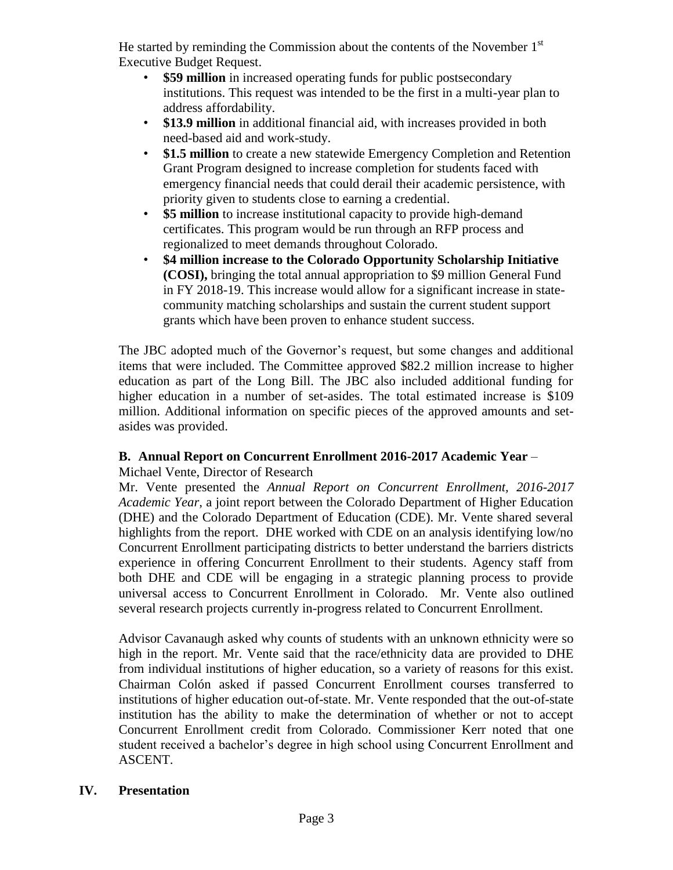He started by reminding the Commission about the contents of the November  $1<sup>st</sup>$ Executive Budget Request.

- **\$59 million** in increased operating funds for public postsecondary institutions. This request was intended to be the first in a multi-year plan to address affordability.
- **\$13.9 million** in additional financial aid, with increases provided in both need-based aid and work-study.
- **\$1.5 million** to create a new statewide Emergency Completion and Retention Grant Program designed to increase completion for students faced with emergency financial needs that could derail their academic persistence, with priority given to students close to earning a credential.
- **\$5 million** to increase institutional capacity to provide high-demand certificates. This program would be run through an RFP process and regionalized to meet demands throughout Colorado.
- **\$4 million increase to the Colorado Opportunity Scholarship Initiative (COSI),** bringing the total annual appropriation to \$9 million General Fund in FY 2018-19. This increase would allow for a significant increase in statecommunity matching scholarships and sustain the current student support grants which have been proven to enhance student success.

The JBC adopted much of the Governor's request, but some changes and additional items that were included. The Committee approved \$82.2 million increase to higher education as part of the Long Bill. The JBC also included additional funding for higher education in a number of set-asides. The total estimated increase is \$109 million. Additional information on specific pieces of the approved amounts and setasides was provided.

## **B. Annual Report on Concurrent Enrollment 2016-2017 Academic Year** *–*

Michael Vente, Director of Research

Mr. Vente presented the *Annual Report on Concurrent Enrollment, 2016-2017 Academic Year,* a joint report between the Colorado Department of Higher Education (DHE) and the Colorado Department of Education (CDE). Mr. Vente shared several highlights from the report. DHE worked with CDE on an analysis identifying low/no Concurrent Enrollment participating districts to better understand the barriers districts experience in offering Concurrent Enrollment to their students. Agency staff from both DHE and CDE will be engaging in a strategic planning process to provide universal access to Concurrent Enrollment in Colorado. Mr. Vente also outlined several research projects currently in-progress related to Concurrent Enrollment.

Advisor Cavanaugh asked why counts of students with an unknown ethnicity were so high in the report. Mr. Vente said that the race/ethnicity data are provided to DHE from individual institutions of higher education, so a variety of reasons for this exist. Chairman Colón asked if passed Concurrent Enrollment courses transferred to institutions of higher education out-of-state. Mr. Vente responded that the out-of-state institution has the ability to make the determination of whether or not to accept Concurrent Enrollment credit from Colorado. Commissioner Kerr noted that one student received a bachelor's degree in high school using Concurrent Enrollment and ASCENT.

## **IV. Presentation**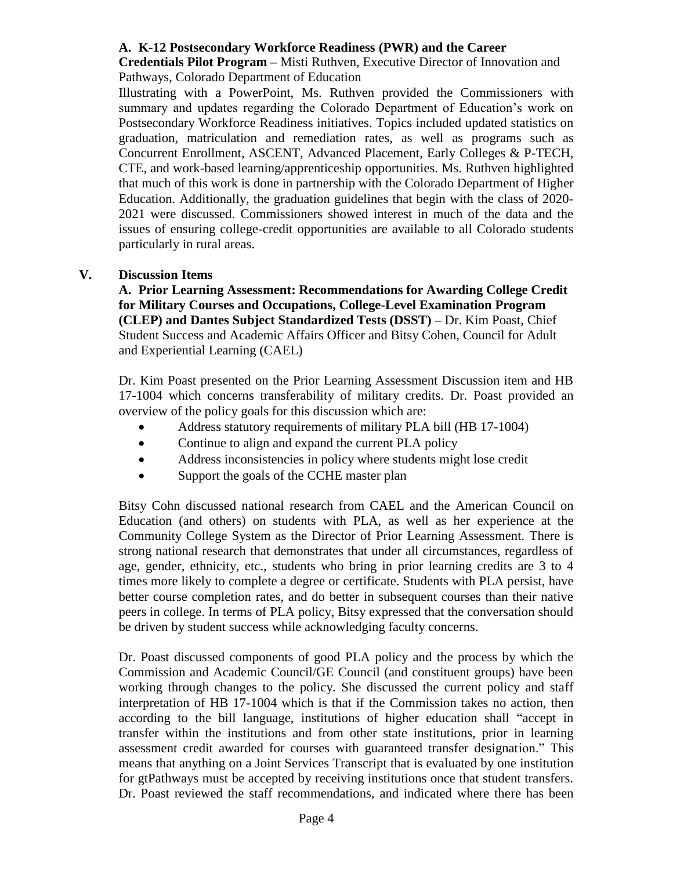## **A. K-12 Postsecondary Workforce Readiness (PWR) and the Career**

**Credentials Pilot Program –** Misti Ruthven, Executive Director of Innovation and Pathways, Colorado Department of Education

Illustrating with a PowerPoint, Ms. Ruthven provided the Commissioners with summary and updates regarding the Colorado Department of Education's work on Postsecondary Workforce Readiness initiatives. Topics included updated statistics on graduation, matriculation and remediation rates, as well as programs such as Concurrent Enrollment, ASCENT, Advanced Placement, Early Colleges & P-TECH, CTE, and work-based learning/apprenticeship opportunities. Ms. Ruthven highlighted that much of this work is done in partnership with the Colorado Department of Higher Education. Additionally, the graduation guidelines that begin with the class of 2020- 2021 were discussed. Commissioners showed interest in much of the data and the issues of ensuring college-credit opportunities are available to all Colorado students particularly in rural areas.

# **V. Discussion Items**

**A. Prior Learning Assessment: Recommendations for Awarding College Credit for Military Courses and Occupations, College-Level Examination Program (CLEP) and Dantes Subject Standardized Tests (DSST) –** Dr. Kim Poast, Chief Student Success and Academic Affairs Officer and Bitsy Cohen, Council for Adult and Experiential Learning (CAEL)

Dr. Kim Poast presented on the Prior Learning Assessment Discussion item and HB 17-1004 which concerns transferability of military credits. Dr. Poast provided an overview of the policy goals for this discussion which are:

- Address statutory requirements of military PLA bill (HB 17-1004)
- Continue to align and expand the current PLA policy
- Address inconsistencies in policy where students might lose credit
- Support the goals of the CCHE master plan

Bitsy Cohn discussed national research from CAEL and the American Council on Education (and others) on students with PLA, as well as her experience at the Community College System as the Director of Prior Learning Assessment. There is strong national research that demonstrates that under all circumstances, regardless of age, gender, ethnicity, etc., students who bring in prior learning credits are 3 to 4 times more likely to complete a degree or certificate. Students with PLA persist, have better course completion rates, and do better in subsequent courses than their native peers in college. In terms of PLA policy, Bitsy expressed that the conversation should be driven by student success while acknowledging faculty concerns.

Dr. Poast discussed components of good PLA policy and the process by which the Commission and Academic Council/GE Council (and constituent groups) have been working through changes to the policy. She discussed the current policy and staff interpretation of HB 17-1004 which is that if the Commission takes no action, then according to the bill language, institutions of higher education shall "accept in transfer within the institutions and from other state institutions, prior in learning assessment credit awarded for courses with guaranteed transfer designation." This means that anything on a Joint Services Transcript that is evaluated by one institution for gtPathways must be accepted by receiving institutions once that student transfers. Dr. Poast reviewed the staff recommendations, and indicated where there has been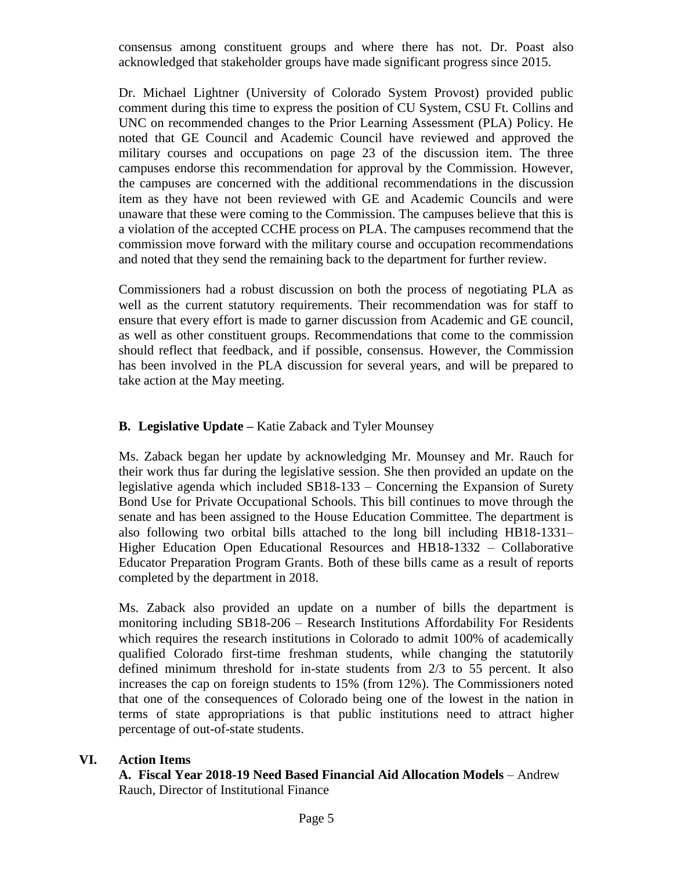consensus among constituent groups and where there has not. Dr. Poast also acknowledged that stakeholder groups have made significant progress since 2015.

Dr. Michael Lightner (University of Colorado System Provost) provided public comment during this time to express the position of CU System, CSU Ft. Collins and UNC on recommended changes to the Prior Learning Assessment (PLA) Policy. He noted that GE Council and Academic Council have reviewed and approved the military courses and occupations on page 23 of the discussion item. The three campuses endorse this recommendation for approval by the Commission. However, the campuses are concerned with the additional recommendations in the discussion item as they have not been reviewed with GE and Academic Councils and were unaware that these were coming to the Commission. The campuses believe that this is a violation of the accepted CCHE process on PLA. The campuses recommend that the commission move forward with the military course and occupation recommendations and noted that they send the remaining back to the department for further review.

Commissioners had a robust discussion on both the process of negotiating PLA as well as the current statutory requirements. Their recommendation was for staff to ensure that every effort is made to garner discussion from Academic and GE council, as well as other constituent groups. Recommendations that come to the commission should reflect that feedback, and if possible, consensus. However, the Commission has been involved in the PLA discussion for several years, and will be prepared to take action at the May meeting.

# **B. Legislative Update** *–* Katie Zaback and Tyler Mounsey

Ms. Zaback began her update by acknowledging Mr. Mounsey and Mr. Rauch for their work thus far during the legislative session. She then provided an update on the legislative agenda which included SB18-133 – Concerning the Expansion of Surety Bond Use for Private Occupational Schools. This bill continues to move through the senate and has been assigned to the House Education Committee. The department is also following two orbital bills attached to the long bill including HB18-1331– Higher Education Open Educational Resources and HB18-1332 – Collaborative Educator Preparation Program Grants. Both of these bills came as a result of reports completed by the department in 2018.

Ms. Zaback also provided an update on a number of bills the department is monitoring including SB18-206 – Research Institutions Affordability For Residents which requires the research institutions in Colorado to admit 100% of academically qualified Colorado first-time freshman students, while changing the statutorily defined minimum threshold for in-state students from 2/3 to 55 percent. It also increases the cap on foreign students to 15% (from 12%). The Commissioners noted that one of the consequences of Colorado being one of the lowest in the nation in terms of state appropriations is that public institutions need to attract higher percentage of out-of-state students.

## **VI. Action Items**

**A. Fiscal Year 2018-19 Need Based Financial Aid Allocation Models** – Andrew Rauch, Director of Institutional Finance